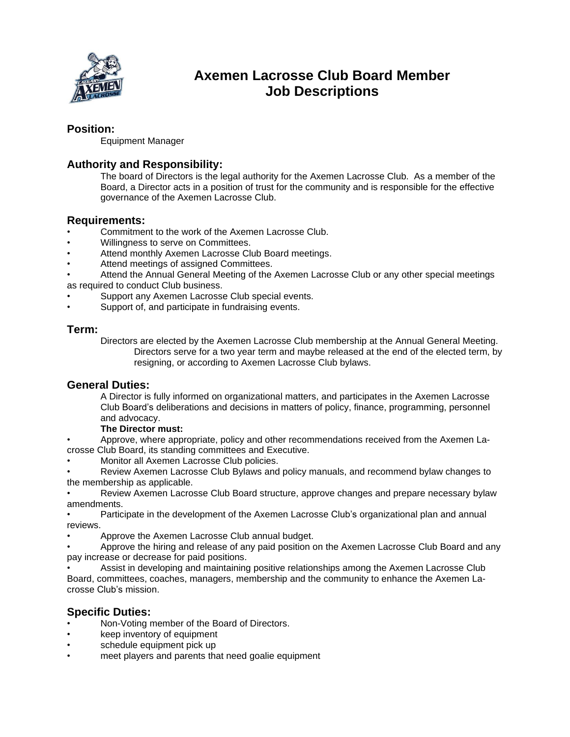

# **Axemen Lacrosse Club Board Member Job Descriptions**

### **Position:**

Equipment Manager

# **Authority and Responsibility:**

The board of Directors is the legal authority for the Axemen Lacrosse Club. As a member of the Board, a Director acts in a position of trust for the community and is responsible for the effective governance of the Axemen Lacrosse Club.

#### **Requirements:**

- Commitment to the work of the Axemen Lacrosse Club.
- Willingness to serve on Committees.
- Attend monthly Axemen Lacrosse Club Board meetings.
- Attend meetings of assigned Committees.
- Attend the Annual General Meeting of the Axemen Lacrosse Club or any other special meetings as required to conduct Club business.
- Support any Axemen Lacrosse Club special events.
- Support of, and participate in fundraising events.

### **Term:**

Directors are elected by the Axemen Lacrosse Club membership at the Annual General Meeting. Directors serve for a two year term and maybe released at the end of the elected term, by resigning, or according to Axemen Lacrosse Club bylaws.

#### **General Duties:**

A Director is fully informed on organizational matters, and participates in the Axemen Lacrosse Club Board's deliberations and decisions in matters of policy, finance, programming, personnel and advocacy.

#### **The Director must:**

• Approve, where appropriate, policy and other recommendations received from the Axemen Lacrosse Club Board, its standing committees and Executive.

• Monitor all Axemen Lacrosse Club policies.

• Review Axemen Lacrosse Club Bylaws and policy manuals, and recommend bylaw changes to the membership as applicable.

• Review Axemen Lacrosse Club Board structure, approve changes and prepare necessary bylaw amendments.

• Participate in the development of the Axemen Lacrosse Club's organizational plan and annual reviews.

• Approve the Axemen Lacrosse Club annual budget.

• Approve the hiring and release of any paid position on the Axemen Lacrosse Club Board and any pay increase or decrease for paid positions.

• Assist in developing and maintaining positive relationships among the Axemen Lacrosse Club Board, committees, coaches, managers, membership and the community to enhance the Axemen Lacrosse Club's mission.

# **Specific Duties:**

- Non-Voting member of the Board of Directors.
- keep inventory of equipment
- schedule equipment pick up
- meet players and parents that need goalie equipment